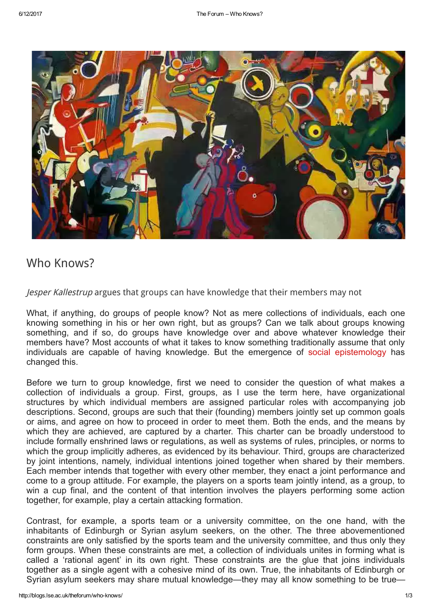

## Who [Knows?](http://blogs.lse.ac.uk/theforum/who-knows/)

Jesper Kallestrup argues that groups can have knowledge that their members may not

What, if anything, do groups of people know? Not as mere collections of individuals, each one knowing something in his or her own right, but as groups? Can we talk about groups knowing something, and if so, do groups have knowledge over and above whatever knowledge their members have? Most accounts of what it takes to know something traditionally assume that only individuals are capable of having knowledge. But the emergence of social [epistemology](https://plato.stanford.edu/entries/epistemology-social/) has changed this.

Before we turn to group knowledge, first we need to consider the question of what makes a collection of individuals a group. First, groups, as I use the term here, have organizational structures by which individual members are assigned particular roles with accompanying job descriptions. Second, groups are such that their (founding) members jointly set up common goals or aims, and agree on how to proceed in order to meet them. Both the ends, and the means by which they are achieved, are captured by a charter. This charter can be broadly understood to include formally enshrined laws or regulations, as well as systems of rules, principles, or norms to which the group implicitly adheres, as evidenced by its behaviour. Third, groups are characterized by joint intentions, namely, individual intentions joined together when shared by their members. Each member intends that together with every other member, they enact a joint performance and come to a group attitude. For example, the players on a sports team jointly intend, as a group, to win a cup final, and the content of that intention involves the players performing some action together, for example, play a certain attacking formation.

Contrast, for example, a sports team or a university committee, on the one hand, with the inhabitants of Edinburgh or Syrian asylum seekers, on the other. The three abovementioned constraints are only satisfied by the sports team and the university committee, and thus only they form groups. When these constraints are met, a collection of individuals unites in forming what is called a 'rational agent' in its own right. These constraints are the glue that joins individuals together as a single agent with a cohesive mind of its own. True, the inhabitants of Edinburgh or Syrian asylum seekers may share mutual knowledge—they may all know something to be true—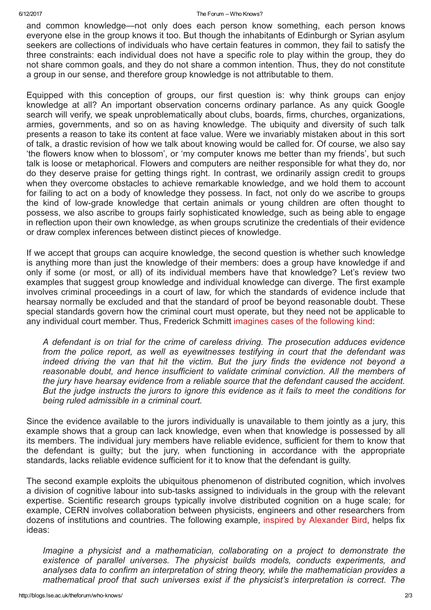## 6/12/2017 The Forum – Who Knows?

and common knowledge—not only does each person know something, each person knows everyone else in the group knows it too. But though the inhabitants of Edinburgh or Syrian asylum seekers are collections of individuals who have certain features in common, they fail to satisfy the three constraints: each individual does not have a specific role to play within the group, they do not share common goals, and they do not share a common intention. Thus, they do not constitute a group in our sense, and therefore group knowledge is not attributable to them.

Equipped with this conception of groups, our first question is: why think groups can enjoy knowledge at all? An important observation concerns ordinary parlance. As any quick Google search will verify, we speak unproblematically about clubs, boards, firms, churches, organizations, armies, governments, and so on as having knowledge. The ubiquity and diversity of such talk presents a reason to take its content at face value. Were we invariably mistaken about in this sort of talk, a drastic revision of how we talk about knowing would be called for. Of course, we also say 'the flowers know when to blossom', or 'my computer knows me better than my friends', but such talk is loose or metaphorical. Flowers and computers are neither responsible for what they do, nor do they deserve praise for getting things right. In contrast, we ordinarily assign credit to groups when they overcome obstacles to achieve remarkable knowledge, and we hold them to account for failing to act on a body of knowledge they possess. In fact, not only do we ascribe to groups the kind of lowgrade knowledge that certain animals or young children are often thought to possess, we also ascribe to groups fairly sophisticated knowledge, such as being able to engage in reflection upon their own knowledge, as when groups scrutinize the credentials of their evidence or draw complex inferences between distinct pieces of knowledge.

If we accept that groups can acquire knowledge, the second question is whether such knowledge is anything more than just the knowledge of their members: does a group have knowledge if and only if some (or most, or all) of its individual members have that knowledge? Let's review two examples that suggest group knowledge and individual knowledge can diverge. The first example involves criminal proceedings in a court of law, for which the standards of evidence include that hearsay normally be excluded and that the standard of proof be beyond reasonable doubt. These special standards govern how the criminal court must operate, but they need not be applicable to any individual court member. Thus, Frederick Schmitt [imagines](https://books.google.co.uk/books?id=yrmlRG9A6boC&lpg=PP11&ots=SqoM0s4xBh&dq=frederick%20Schmitt%20(1994)%20%E2%80%98The%20Justification%20of%20Group%20Belief&lr&pg=PA257#v=onepage&q&f=false) cases of the following kind:

A defendant is on trial for the crime of careless driving. The prosecution adduces evidence from the police report, as well as eyewitnesses testifying in court that the defendant was indeed driving the van that hit the victim. But the jury finds the evidence not beyond a reasonable doubt, and hence insufficient to validate criminal conviction. All the members of the jury have hearsay evidence from a reliable source that the defendant caused the accident. But the judge instructs the jurors to ignore this evidence as it fails to meet the conditions for being ruled admissible in a criminal court.

Since the evidence available to the jurors individually is unavailable to them jointly as a jury, this example shows that a group can lack knowledge, even when that knowledge is possessed by all its members. The individual jury members have reliable evidence, sufficient for them to know that the defendant is guilty; but the jury, when functioning in accordance with the appropriate standards, lacks reliable evidence sufficient for it to know that the defendant is guilty.

The second example exploits the ubiquitous phenomenon of distributed cognition, which involves a division of cognitive labour into sub-tasks assigned to individuals in the group with the relevant expertise. Scientific research groups typically involve distributed cognition on a huge scale; for example, CERN involves collaboration between physicists, engineers and other researchers from dozens of institutions and countries. The following example, inspired by [Alexander](http://onlinelibrary.wiley.com/doi/10.1111/j.1520-8583.2010.00184.x/abstract) Bird, helps fix ideas:

Imagine a physicist and a mathematician, collaborating on a project to demonstrate the existence of parallel universes. The physicist builds models, conducts experiments, and analyses data to confirm an interpretation of string theory, while the mathematician provides a mathematical proof that such universes exist if the physicist's interpretation is correct. The